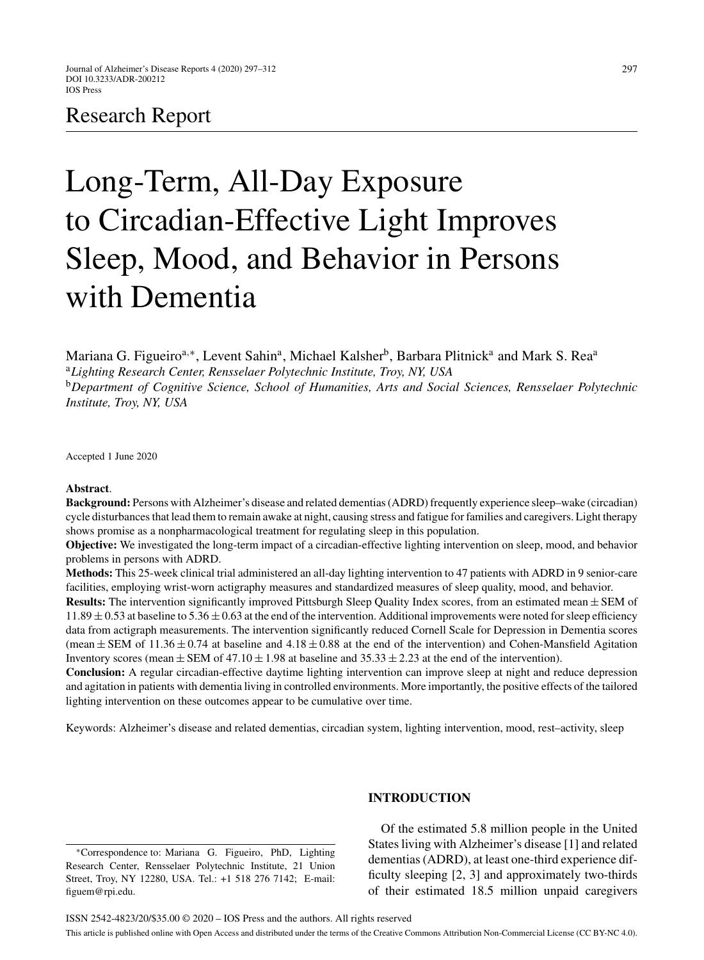# Research Report

# Long-Term, All-Day Exposure to Circadian-Effective Light Improves Sleep, Mood, and Behavior in Persons with Dementia

Mariana G. Figueiro<sup>a,∗</sup>, Levent Sahin<sup>a</sup>, Michael Kalsher<sup>b</sup>, Barbara Plitnick<sup>a</sup> and Mark S. Rea<sup>a</sup> <sup>a</sup>*Lighting Research Center, Rensselaer Polytechnic Institute, Troy, NY, USA* <sup>b</sup>*Department of Cognitive Science, School of Humanities, Arts and Social Sciences, Rensselaer Polytechnic Institute, Troy, NY, USA*

Accepted 1 June 2020

#### **Abstract**.

**Background:** Persons with Alzheimer's disease and related dementias (ADRD) frequently experience sleep–wake (circadian) cycle disturbances that lead them to remain awake at night, causing stress and fatigue for families and caregivers. Light therapy shows promise as a nonpharmacological treatment for regulating sleep in this population.

**Objective:** We investigated the long-term impact of a circadian-effective lighting intervention on sleep, mood, and behavior problems in persons with ADRD.

**Methods:** This 25-week clinical trial administered an all-day lighting intervention to 47 patients with ADRD in 9 senior-care facilities, employing wrist-worn actigraphy measures and standardized measures of sleep quality, mood, and behavior.

**Results:** The intervention significantly improved Pittsburgh Sleep Quality Index scores, from an estimated mean ± SEM of  $11.89 \pm 0.53$  at baseline to  $5.36 \pm 0.63$  at the end of the intervention. Additional improvements were noted for sleep efficiency data from actigraph measurements. The intervention significantly reduced Cornell Scale for Depression in Dementia scores (mean  $\pm$  SEM of 11.36  $\pm$  0.74 at baseline and 4.18  $\pm$  0.88 at the end of the intervention) and Cohen-Mansfield Agitation Inventory scores (mean  $\pm$  SEM of 47.10  $\pm$  1.98 at baseline and 35.33  $\pm$  2.23 at the end of the intervention).

**Conclusion:** A regular circadian-effective daytime lighting intervention can improve sleep at night and reduce depression and agitation in patients with dementia living in controlled environments. More importantly, the positive effects of the tailored lighting intervention on these outcomes appear to be cumulative over time.

Keywords: Alzheimer's disease and related dementias, circadian system, lighting intervention, mood, rest–activity, sleep

∗Correspondence to: Mariana G. Figueiro, PhD, Lighting Research Center, Rensselaer Polytechnic Institute, 21 Union Street, Troy, NY 12280, USA. Tel.: +1 518 276 7142; E-mail: [figuem@rpi.edu.](mailto:figuem@rpi.edu)

# **INTRODUCTION**

Of the estimated 5.8 million people in the United States living with Alzheimer's disease [1] and related dementias (ADRD), at least one-third experience difficulty sleeping [2, 3] and approximately two-thirds of their estimated 18.5 million unpaid caregivers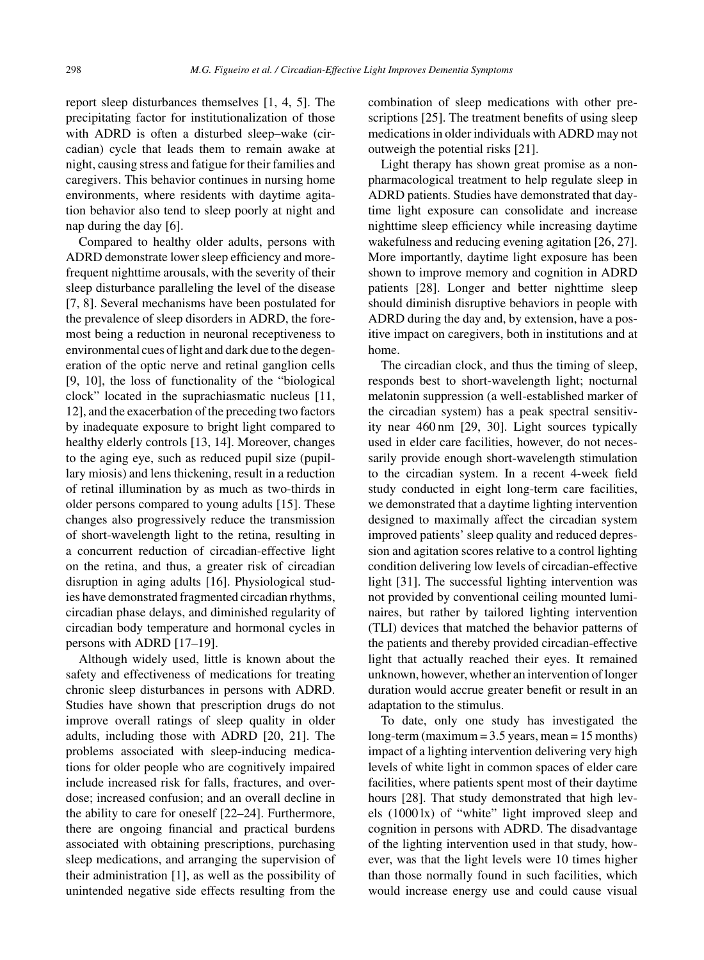report sleep disturbances themselves [1, 4, 5]. The precipitating factor for institutionalization of those with ADRD is often a disturbed sleep–wake (circadian) cycle that leads them to remain awake at night, causing stress and fatigue for their families and caregivers. This behavior continues in nursing home environments, where residents with daytime agitation behavior also tend to sleep poorly at night and nap during the day [6].

Compared to healthy older adults, persons with ADRD demonstrate lower sleep efficiency and morefrequent nighttime arousals, with the severity of their sleep disturbance paralleling the level of the disease [7, 8]. Several mechanisms have been postulated for the prevalence of sleep disorders in ADRD, the foremost being a reduction in neuronal receptiveness to environmental cues of light and dark due to the degeneration of the optic nerve and retinal ganglion cells [9, 10], the loss of functionality of the "biological clock" located in the suprachiasmatic nucleus [11, 12], and the exacerbation of the preceding two factors by inadequate exposure to bright light compared to healthy elderly controls [13, 14]. Moreover, changes to the aging eye, such as reduced pupil size (pupillary miosis) and lens thickening, result in a reduction of retinal illumination by as much as two-thirds in older persons compared to young adults [15]. These changes also progressively reduce the transmission of short-wavelength light to the retina, resulting in a concurrent reduction of circadian-effective light on the retina, and thus, a greater risk of circadian disruption in aging adults [16]. Physiological studies have demonstrated fragmented circadian rhythms, circadian phase delays, and diminished regularity of circadian body temperature and hormonal cycles in persons with ADRD [17–19].

Although widely used, little is known about the safety and effectiveness of medications for treating chronic sleep disturbances in persons with ADRD. Studies have shown that prescription drugs do not improve overall ratings of sleep quality in older adults, including those with ADRD [20, 21]. The problems associated with sleep-inducing medications for older people who are cognitively impaired include increased risk for falls, fractures, and overdose; increased confusion; and an overall decline in the ability to care for oneself [22–24]. Furthermore, there are ongoing financial and practical burdens associated with obtaining prescriptions, purchasing sleep medications, and arranging the supervision of their administration [1], as well as the possibility of unintended negative side effects resulting from the

combination of sleep medications with other prescriptions [25]. The treatment benefits of using sleep medications in older individuals with ADRD may not outweigh the potential risks [21].

Light therapy has shown great promise as a nonpharmacological treatment to help regulate sleep in ADRD patients. Studies have demonstrated that daytime light exposure can consolidate and increase nighttime sleep efficiency while increasing daytime wakefulness and reducing evening agitation [26, 27]. More importantly, daytime light exposure has been shown to improve memory and cognition in ADRD patients [28]. Longer and better nighttime sleep should diminish disruptive behaviors in people with ADRD during the day and, by extension, have a positive impact on caregivers, both in institutions and at home.

The circadian clock, and thus the timing of sleep, responds best to short-wavelength light; nocturnal melatonin suppression (a well-established marker of the circadian system) has a peak spectral sensitivity near 460 nm [29, 30]. Light sources typically used in elder care facilities, however, do not necessarily provide enough short-wavelength stimulation to the circadian system. In a recent 4-week field study conducted in eight long-term care facilities, we demonstrated that a daytime lighting intervention designed to maximally affect the circadian system improved patients' sleep quality and reduced depression and agitation scores relative to a control lighting condition delivering low levels of circadian-effective light [31]. The successful lighting intervention was not provided by conventional ceiling mounted luminaires, but rather by tailored lighting intervention (TLI) devices that matched the behavior patterns of the patients and thereby provided circadian-effective light that actually reached their eyes. It remained unknown, however, whether an intervention of longer duration would accrue greater benefit or result in an adaptation to the stimulus.

To date, only one study has investigated the long-term (maximum = 3.5 years, mean = 15 months) impact of a lighting intervention delivering very high levels of white light in common spaces of elder care facilities, where patients spent most of their daytime hours [28]. That study demonstrated that high levels (1000 lx) of "white" light improved sleep and cognition in persons with ADRD. The disadvantage of the lighting intervention used in that study, however, was that the light levels were 10 times higher than those normally found in such facilities, which would increase energy use and could cause visual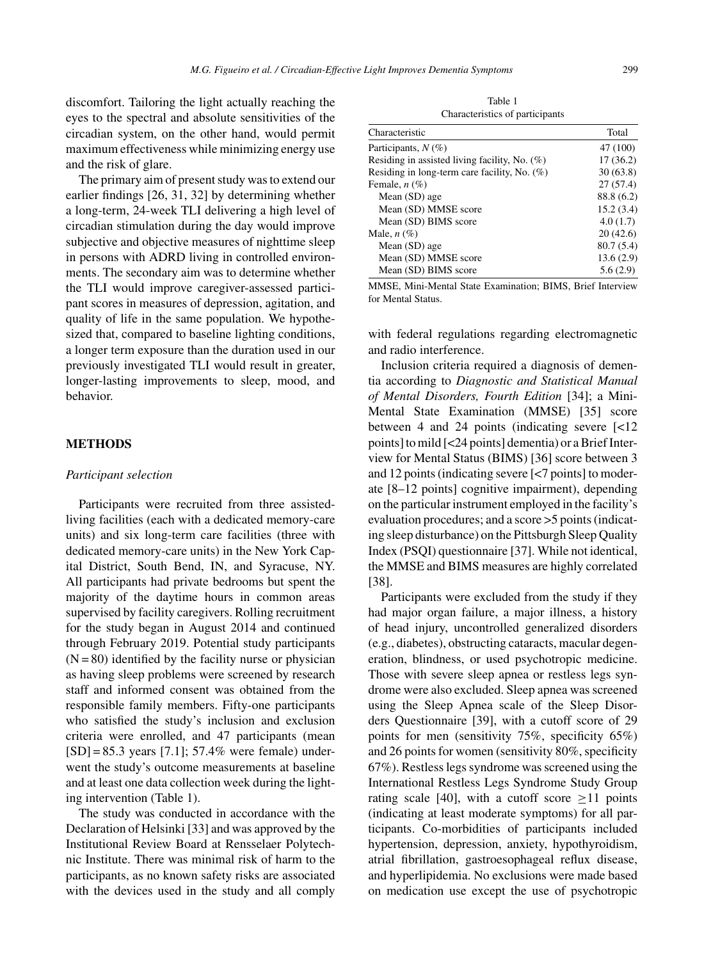discomfort. Tailoring the light actually reaching the eyes to the spectral and absolute sensitivities of the circadian system, on the other hand, would permit maximum effectiveness while minimizing energy use and the risk of glare.

The primary aim of present study was to extend our earlier findings [26, 31, 32] by determining whether a long-term, 24-week TLI delivering a high level of circadian stimulation during the day would improve subjective and objective measures of nighttime sleep in persons with ADRD living in controlled environments. The secondary aim was to determine whether the TLI would improve caregiver-assessed participant scores in measures of depression, agitation, and quality of life in the same population. We hypothesized that, compared to baseline lighting conditions, a longer term exposure than the duration used in our previously investigated TLI would result in greater, longer-lasting improvements to sleep, mood, and behavior.

# **METHODS**

# *Participant selection*

Participants were recruited from three assistedliving facilities (each with a dedicated memory-care units) and six long-term care facilities (three with dedicated memory-care units) in the New York Capital District, South Bend, IN, and Syracuse, NY. All participants had private bedrooms but spent the majority of the daytime hours in common areas supervised by facility caregivers. Rolling recruitment for the study began in August 2014 and continued through February 2019. Potential study participants  $(N = 80)$  identified by the facility nurse or physician as having sleep problems were screened by research staff and informed consent was obtained from the responsible family members. Fifty-one participants who satisfied the study's inclusion and exclusion criteria were enrolled, and 47 participants (mean  $[SD] = 85.3$  years  $[7.1]$ ; 57.4% were female) underwent the study's outcome measurements at baseline and at least one data collection week during the lighting intervention (Table 1).

The study was conducted in accordance with the Declaration of Helsinki [33] and was approved by the Institutional Review Board at Rensselaer Polytechnic Institute. There was minimal risk of harm to the participants, as no known safety risks are associated with the devices used in the study and all comply

Table 1 Characteristics of participants

| Characteristic                                   | Total      |
|--------------------------------------------------|------------|
| Participants, $N(\%)$                            | 47 (100)   |
| Residing in assisted living facility, No. $(\%)$ | 17(36.2)   |
| Residing in long-term care facility, No. (%)     | 30(63.8)   |
| Female, $n$ $(\%)$                               | 27(57.4)   |
| Mean (SD) age                                    | 88.8 (6.2) |
| Mean (SD) MMSE score                             | 15.2(3.4)  |
| Mean (SD) BIMS score                             | 4.0(1.7)   |
| Male, $n(\%)$                                    | 20(42.6)   |
| Mean (SD) age                                    | 80.7(5.4)  |
| Mean (SD) MMSE score                             | 13.6(2.9)  |
| Mean (SD) BIMS score                             | 5.6(2.9)   |

MMSE, Mini-Mental State Examination; BIMS, Brief Interview for Mental Status.

with federal regulations regarding electromagnetic and radio interference.

Inclusion criteria required a diagnosis of dementia according to *Diagnostic and Statistical Manual of Mental Disorders, Fourth Edition* [34]; a Mini-Mental State Examination (MMSE) [35] score between 4 and 24 points (indicating severe [<12 points] to mild [<24 points] dementia) or a Brief Interview for Mental Status (BIMS) [36] score between 3 and 12 points (indicating severe [<7 points] to moderate [8–12 points] cognitive impairment), depending on the particular instrument employed in the facility's evaluation procedures; and a score >5 points (indicating sleep disturbance) on the Pittsburgh Sleep Quality Index (PSQI) questionnaire [37]. While not identical, the MMSE and BIMS measures are highly correlated [38].

Participants were excluded from the study if they had major organ failure, a major illness, a history of head injury, uncontrolled generalized disorders (e.g., diabetes), obstructing cataracts, macular degeneration, blindness, or used psychotropic medicine. Those with severe sleep apnea or restless legs syndrome were also excluded. Sleep apnea was screened using the Sleep Apnea scale of the Sleep Disorders Questionnaire [39], with a cutoff score of 29 points for men (sensitivity 75%, specificity 65%) and 26 points for women (sensitivity 80%, specificity 67%). Restless legs syndrome was screened using the International Restless Legs Syndrome Study Group rating scale [40], with a cutoff score  $>11$  points (indicating at least moderate symptoms) for all participants. Co-morbidities of participants included hypertension, depression, anxiety, hypothyroidism, atrial fibrillation, gastroesophageal reflux disease, and hyperlipidemia. No exclusions were made based on medication use except the use of psychotropic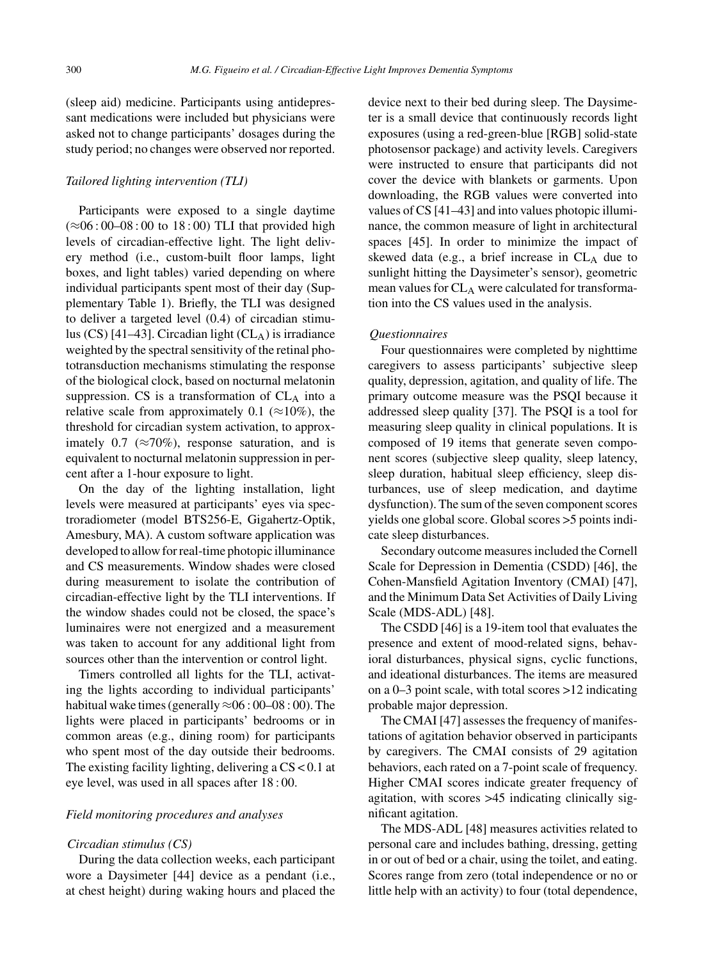(sleep aid) medicine. Participants using antidepressant medications were included but physicians were asked not to change participants' dosages during the study period; no changes were observed nor reported.

#### *Tailored lighting intervention (TLI)*

Participants were exposed to a single daytime (≈06 : 00–08 : 00 to 18 : 00) TLI that provided high levels of circadian-effective light. The light delivery method (i.e., custom-built floor lamps, light boxes, and light tables) varied depending on where individual participants spent most of their day (Supplementary Table 1). Briefly, the TLI was designed to deliver a targeted level (0.4) of circadian stimulus  $(CS)$  [41–43]. Circadian light  $(CL_A)$  is irradiance weighted by the spectral sensitivity of the retinal phototransduction mechanisms stimulating the response of the biological clock, based on nocturnal melatonin suppression. CS is a transformation of  $CL_A$  into a relative scale from approximately 0.1 ( $\approx$ 10%), the threshold for circadian system activation, to approximately 0.7 ( $\approx$ 70%), response saturation, and is equivalent to nocturnal melatonin suppression in percent after a 1-hour exposure to light.

On the day of the lighting installation, light levels were measured at participants' eyes via spectroradiometer (model BTS256-E, Gigahertz-Optik, Amesbury, MA). A custom software application was developed to allow for real-time photopic illuminance and CS measurements. Window shades were closed during measurement to isolate the contribution of circadian-effective light by the TLI interventions. If the window shades could not be closed, the space's luminaires were not energized and a measurement was taken to account for any additional light from sources other than the intervention or control light.

Timers controlled all lights for the TLI, activating the lights according to individual participants' habitual wake times (generally  $\approx 06 : 00-08 : 00$ ). The lights were placed in participants' bedrooms or in common areas (e.g., dining room) for participants who spent most of the day outside their bedrooms. The existing facility lighting, delivering a CS < 0.1 at eye level, was used in all spaces after 18 : 00.

# *Field monitoring procedures and analyses*

#### *Circadian stimulus (CS)*

During the data collection weeks, each participant wore a Daysimeter [44] device as a pendant (i.e., at chest height) during waking hours and placed the

device next to their bed during sleep. The Daysimeter is a small device that continuously records light exposures (using a red-green-blue [RGB] solid-state photosensor package) and activity levels. Caregivers were instructed to ensure that participants did not cover the device with blankets or garments. Upon downloading, the RGB values were converted into values of CS [41–43] and into values photopic illuminance, the common measure of light in architectural spaces [45]. In order to minimize the impact of skewed data (e.g., a brief increase in  $CL<sub>A</sub>$  due to sunlight hitting the Daysimeter's sensor), geometric mean values for CLA were calculated for transformation into the CS values used in the analysis.

#### *Questionnaires*

Four questionnaires were completed by nighttime caregivers to assess participants' subjective sleep quality, depression, agitation, and quality of life. The primary outcome measure was the PSQI because it addressed sleep quality [37]. The PSQI is a tool for measuring sleep quality in clinical populations. It is composed of 19 items that generate seven component scores (subjective sleep quality, sleep latency, sleep duration, habitual sleep efficiency, sleep disturbances, use of sleep medication, and daytime dysfunction). The sum of the seven component scores yields one global score. Global scores >5 points indicate sleep disturbances.

Secondary outcome measures included the Cornell Scale for Depression in Dementia (CSDD) [46], the Cohen-Mansfield Agitation Inventory (CMAI) [47], and the Minimum Data Set Activities of Daily Living Scale (MDS-ADL) [48].

The CSDD [46] is a 19-item tool that evaluates the presence and extent of mood-related signs, behavioral disturbances, physical signs, cyclic functions, and ideational disturbances. The items are measured on a 0–3 point scale, with total scores >12 indicating probable major depression.

The CMAI [47] assesses the frequency of manifestations of agitation behavior observed in participants by caregivers. The CMAI consists of 29 agitation behaviors, each rated on a 7-point scale of frequency. Higher CMAI scores indicate greater frequency of agitation, with scores >45 indicating clinically significant agitation.

The MDS-ADL [48] measures activities related to personal care and includes bathing, dressing, getting in or out of bed or a chair, using the toilet, and eating. Scores range from zero (total independence or no or little help with an activity) to four (total dependence,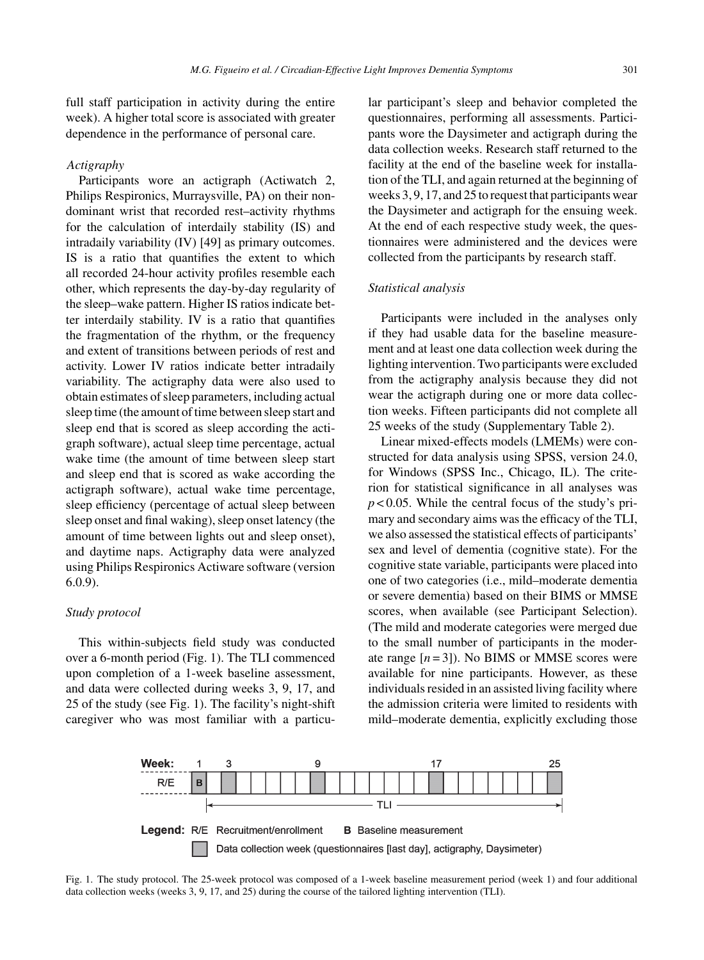full staff participation in activity during the entire week). A higher total score is associated with greater dependence in the performance of personal care.

# *Actigraphy*

Participants wore an actigraph (Actiwatch 2, Philips Respironics, Murraysville, PA) on their nondominant wrist that recorded rest–activity rhythms for the calculation of interdaily stability (IS) and intradaily variability (IV) [49] as primary outcomes. IS is a ratio that quantifies the extent to which all recorded 24-hour activity profiles resemble each other, which represents the day-by-day regularity of the sleep–wake pattern. Higher IS ratios indicate better interdaily stability. IV is a ratio that quantifies the fragmentation of the rhythm, or the frequency and extent of transitions between periods of rest and activity. Lower IV ratios indicate better intradaily variability. The actigraphy data were also used to obtain estimates of sleep parameters, including actual sleep time (the amount of time between sleep start and sleep end that is scored as sleep according the actigraph software), actual sleep time percentage, actual wake time (the amount of time between sleep start and sleep end that is scored as wake according the actigraph software), actual wake time percentage, sleep efficiency (percentage of actual sleep between sleep onset and final waking), sleep onset latency (the amount of time between lights out and sleep onset), and daytime naps. Actigraphy data were analyzed using Philips Respironics Actiware software (version 6.0.9).

# *Study protocol*

This within-subjects field study was conducted over a 6-month period (Fig. 1). The TLI commenced upon completion of a 1-week baseline assessment, and data were collected during weeks 3, 9, 17, and 25 of the study (see Fig. 1). The facility's night-shift caregiver who was most familiar with a particular participant's sleep and behavior completed the questionnaires, performing all assessments. Participants wore the Daysimeter and actigraph during the data collection weeks. Research staff returned to the facility at the end of the baseline week for installation of the TLI, and again returned at the beginning of weeks 3, 9, 17, and 25 to request that participants wear the Daysimeter and actigraph for the ensuing week. At the end of each respective study week, the questionnaires were administered and the devices were collected from the participants by research staff.

### *Statistical analysis*

Participants were included in the analyses only if they had usable data for the baseline measurement and at least one data collection week during the lighting intervention. Two participants were excluded from the actigraphy analysis because they did not wear the actigraph during one or more data collection weeks. Fifteen participants did not complete all 25 weeks of the study (Supplementary Table 2).

Linear mixed-effects models (LMEMs) were constructed for data analysis using SPSS, version 24.0, for Windows (SPSS Inc., Chicago, IL). The criterion for statistical significance in all analyses was  $p < 0.05$ . While the central focus of the study's primary and secondary aims was the efficacy of the TLI, we also assessed the statistical effects of participants' sex and level of dementia (cognitive state). For the cognitive state variable, participants were placed into one of two categories (i.e., mild–moderate dementia or severe dementia) based on their BIMS or MMSE scores, when available (see Participant Selection). (The mild and moderate categories were merged due to the small number of participants in the moderate range  $[n=3]$ ). No BIMS or MMSE scores were available for nine participants. However, as these individuals resided in an assisted living facility where the admission criteria were limited to residents with mild–moderate dementia, explicitly excluding those



Fig. 1. The study protocol. The 25-week protocol was composed of a 1-week baseline measurement period (week 1) and four additional data collection weeks (weeks 3, 9, 17, and 25) during the course of the tailored lighting intervention (TLI).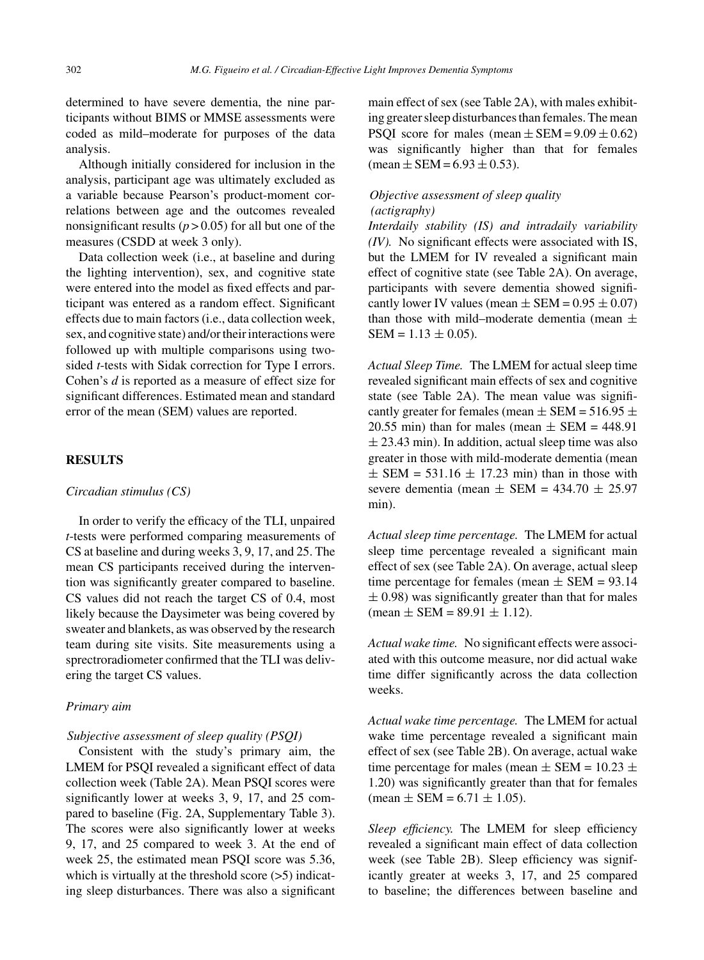determined to have severe dementia, the nine participants without BIMS or MMSE assessments were coded as mild–moderate for purposes of the data analysis.

Although initially considered for inclusion in the analysis, participant age was ultimately excluded as a variable because Pearson's product-moment correlations between age and the outcomes revealed nonsignificant results ( $p > 0.05$ ) for all but one of the measures (CSDD at week 3 only).

Data collection week (i.e., at baseline and during the lighting intervention), sex, and cognitive state were entered into the model as fixed effects and participant was entered as a random effect. Significant effects due to main factors (i.e., data collection week, sex, and cognitive state) and/or their interactions were followed up with multiple comparisons using twosided *t*-tests with Sidak correction for Type I errors. Cohen's *d* is reported as a measure of effect size for significant differences. Estimated mean and standard error of the mean (SEM) values are reported.

# **RESULTS**

# *Circadian stimulus (CS)*

In order to verify the efficacy of the TLI, unpaired *t*-tests were performed comparing measurements of CS at baseline and during weeks 3, 9, 17, and 25. The mean CS participants received during the intervention was significantly greater compared to baseline. CS values did not reach the target CS of 0.4, most likely because the Daysimeter was being covered by sweater and blankets, as was observed by the research team during site visits. Site measurements using a sprectroradiometer confirmed that the TLI was delivering the target CS values.

#### *Primary aim*

#### *Subjective assessment of sleep quality (PSQI)*

Consistent with the study's primary aim, the LMEM for PSQI revealed a significant effect of data collection week (Table 2A). Mean PSQI scores were significantly lower at weeks 3, 9, 17, and 25 compared to baseline (Fig. 2A, Supplementary Table 3). The scores were also significantly lower at weeks 9, 17, and 25 compared to week 3. At the end of week 25, the estimated mean PSQI score was 5.36, which is virtually at the threshold score (>5) indicating sleep disturbances. There was also a significant

main effect of sex (see Table 2A), with males exhibiting greater sleep disturbances than females. The mean PSQI score for males (mean  $\pm$  SEM = 9.09  $\pm$  0.62) was significantly higher than that for females  $mean \pm SEM = 6.93 \pm 0.53$ .

# *Objective assessment of sleep quality (actigraphy)*

*Interdaily stability (IS) and intradaily variability (IV).* No significant effects were associated with IS, but the LMEM for IV revealed a significant main effect of cognitive state (see Table 2A). On average, participants with severe dementia showed significantly lower IV values (mean  $\pm$  SEM = 0.95  $\pm$  0.07) than those with mild–moderate dementia (mean  $\pm$  $SEM = 1.13 + 0.05$ .

*Actual Sleep Time.* The LMEM for actual sleep time revealed significant main effects of sex and cognitive state (see Table 2A). The mean value was significantly greater for females (mean  $\pm$  SEM = 516.95  $\pm$ 20.55 min) than for males (mean  $\pm$  SEM = 448.91  $\pm$  23.43 min). In addition, actual sleep time was also greater in those with mild-moderate dementia (mean  $\pm$  SEM = 531.16  $\pm$  17.23 min) than in those with severe dementia (mean  $\pm$  SEM = 434.70  $\pm$  25.97 min).

*Actual sleep time percentage.* The LMEM for actual sleep time percentage revealed a significant main effect of sex (see Table 2A). On average, actual sleep time percentage for females (mean  $\pm$  SEM = 93.14  $\pm$  0.98) was significantly greater than that for males  $mean \pm SEM = 89.91 \pm 1.12$ ).

*Actual wake time.* No significant effects were associated with this outcome measure, nor did actual wake time differ significantly across the data collection weeks.

*Actual wake time percentage.* The LMEM for actual wake time percentage revealed a significant main effect of sex (see Table 2B). On average, actual wake time percentage for males (mean  $\pm$  SEM = 10.23  $\pm$ 1.20) was significantly greater than that for females  $mean \pm SEM = 6.71 \pm 1.05$ .

*Sleep efficiency.* The LMEM for sleep efficiency revealed a significant main effect of data collection week (see Table 2B). Sleep efficiency was significantly greater at weeks 3, 17, and 25 compared to baseline; the differences between baseline and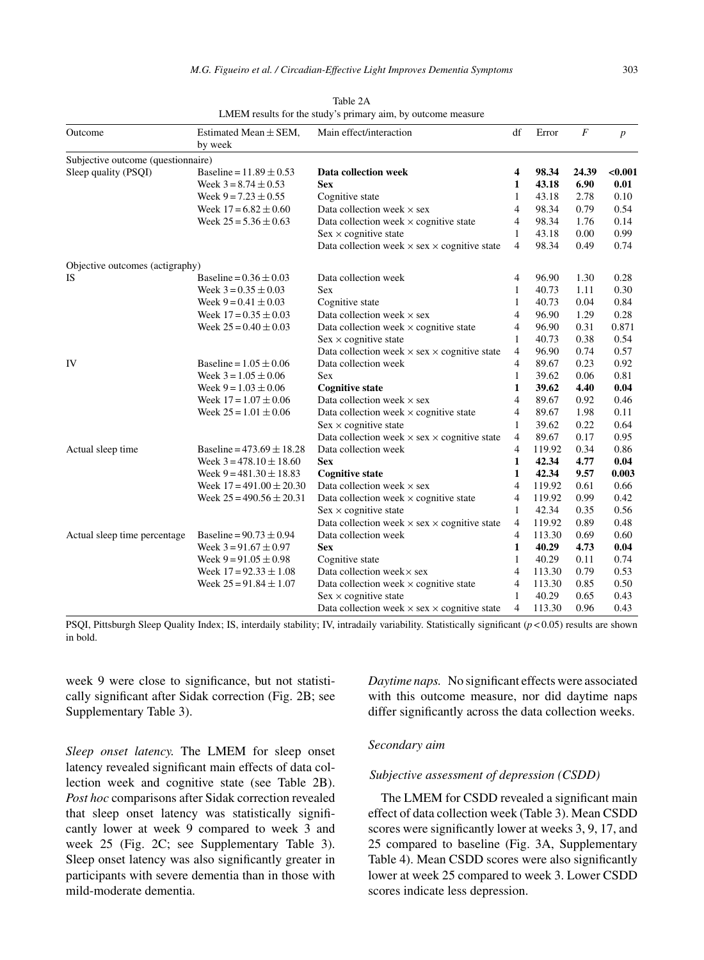| Outcome                            | Estimated Mean $\pm$ SEM,<br>by week | Main effect/interaction                                    | df             | Error  | $\overline{F}$ | $\boldsymbol{p}$ |
|------------------------------------|--------------------------------------|------------------------------------------------------------|----------------|--------|----------------|------------------|
| Subjective outcome (questionnaire) |                                      |                                                            |                |        |                |                  |
| Sleep quality (PSQI)               | Baseline = $11.89 \pm 0.53$          | Data collection week                                       | 4              | 98.34  | 24.39          | < 0.001          |
|                                    | Week $3 = 8.74 \pm 0.53$             | <b>Sex</b>                                                 | $\mathbf{1}$   | 43.18  | 6.90           | 0.01             |
|                                    | Week $9 = 7.23 \pm 0.55$             | Cognitive state                                            | 1              | 43.18  | 2.78           | 0.10             |
|                                    | Week $17 = 6.82 \pm 0.60$            | Data collection week $\times$ sex                          | 4              | 98.34  | 0.79           | 0.54             |
|                                    | Week $25 = 5.36 \pm 0.63$            | Data collection week $\times$ cognitive state              | 4              | 98.34  | 1.76           | 0.14             |
|                                    |                                      | $Sex \times cognitive state$                               | 1              | 43.18  | 0.00           | 0.99             |
|                                    |                                      | Data collection week $\times$ sex $\times$ cognitive state | $\overline{4}$ | 98.34  | 0.49           | 0.74             |
| Objective outcomes (actigraphy)    |                                      |                                                            |                |        |                |                  |
| IS                                 | Baseline = $0.36 \pm 0.03$           | Data collection week                                       | 4              | 96.90  | 1.30           | 0.28             |
|                                    | Week $3 = 0.35 \pm 0.03$             | <b>Sex</b>                                                 | $\mathbf{1}$   | 40.73  | 1.11           | 0.30             |
|                                    | Week $9 = 0.41 \pm 0.03$             | Cognitive state                                            | 1              | 40.73  | 0.04           | 0.84             |
|                                    | Week $17 = 0.35 \pm 0.03$            | Data collection week $\times$ sex                          | 4              | 96.90  | 1.29           | 0.28             |
|                                    | Week $25 = 0.40 \pm 0.03$            | Data collection week $\times$ cognitive state              | 4              | 96.90  | 0.31           | 0.871            |
|                                    |                                      | $Sex \times cognitive state$                               | $\mathbf{1}$   | 40.73  | 0.38           | 0.54             |
|                                    |                                      | Data collection week $\times$ sex $\times$ cognitive state | $\overline{4}$ | 96.90  | 0.74           | 0.57             |
| IV                                 | Baseline = $1.05 \pm 0.06$           | Data collection week                                       | 4              | 89.67  | 0.23           | 0.92             |
|                                    | Week $3 = 1.05 \pm 0.06$             | <b>Sex</b>                                                 | 1              | 39.62  | 0.06           | 0.81             |
|                                    | Week $9 = 1.03 \pm 0.06$             | <b>Cognitive state</b>                                     | 1              | 39.62  | 4.40           | 0.04             |
|                                    | Week $17 = 1.07 \pm 0.06$            | Data collection week $\times$ sex                          | $\overline{4}$ | 89.67  | 0.92           | 0.46             |
|                                    | Week $25 = 1.01 \pm 0.06$            | Data collection week $\times$ cognitive state              | $\overline{4}$ | 89.67  | 1.98           | 0.11             |
|                                    |                                      | $Sex \times cognitive state$                               | $\mathbf{1}$   | 39.62  | 0.22           | 0.64             |
|                                    |                                      | Data collection week $\times$ sex $\times$ cognitive state | 4              | 89.67  | 0.17           | 0.95             |
| Actual sleep time                  | Baseline = $473.69 \pm 18.28$        | Data collection week                                       | 4              | 119.92 | 0.34           | 0.86             |
|                                    | Week $3 = 478.10 \pm 18.60$          | <b>Sex</b>                                                 | 1              | 42.34  | 4.77           | 0.04             |
|                                    | Week $9 = 481.30 \pm 18.83$          | <b>Cognitive state</b>                                     | 1              | 42.34  | 9.57           | 0.003            |
|                                    | Week $17 = 491.00 \pm 20.30$         | Data collection week $\times$ sex                          | $\overline{4}$ | 119.92 | 0.61           | 0.66             |
|                                    | Week $25 = 490.56 \pm 20.31$         | Data collection week $\times$ cognitive state              | 4              | 119.92 | 0.99           | 0.42             |
|                                    |                                      | $Sex \times cognitive state$                               | 1              | 42.34  | 0.35           | 0.56             |
|                                    |                                      | Data collection week $\times$ sex $\times$ cognitive state | 4              | 119.92 | 0.89           | 0.48             |
| Actual sleep time percentage       | Baseline = $90.73 \pm 0.94$          | Data collection week                                       | 4              | 113.30 | 0.69           | 0.60             |
|                                    | Week $3 = 91.67 \pm 0.97$            | <b>Sex</b>                                                 | 1              | 40.29  | 4.73           | 0.04             |
|                                    | Week $9 = 91.05 \pm 0.98$            | Cognitive state                                            | 1              | 40.29  | 0.11           | 0.74             |
|                                    | Week $17 = 92.33 \pm 1.08$           | Data collection week × sex                                 | 4              | 113.30 | 0.79           | 0.53             |
|                                    | Week $25 = 91.84 \pm 1.07$           | Data collection week $\times$ cognitive state              | 4              | 113.30 | 0.85           | 0.50             |
|                                    |                                      | $Sex \times cognitive state$                               | 1              | 40.29  | 0.65           | 0.43             |
|                                    |                                      | Data collection week $\times$ sex $\times$ cognitive state | 4              | 113.30 | 0.96           | 0.43             |

| Table 2A                                                     |  |
|--------------------------------------------------------------|--|
| LMEM results for the study's primary aim, by outcome measure |  |

PSQI, Pittsburgh Sleep Quality Index; IS, interdaily stability; IV, intradaily variability. Statistically significant (*p* < 0.05) results are shown in bold.

week 9 were close to significance, but not statistically significant after Sidak correction (Fig. 2B; see Supplementary Table 3).

*Sleep onset latency.* The LMEM for sleep onset latency revealed significant main effects of data collection week and cognitive state (see Table 2B). *Post hoc* comparisons after Sidak correction revealed that sleep onset latency was statistically significantly lower at week 9 compared to week 3 and week 25 (Fig. 2C; see Supplementary Table 3). Sleep onset latency was also significantly greater in participants with severe dementia than in those with mild-moderate dementia.

*Daytime naps.* No significant effects were associated with this outcome measure, nor did daytime naps differ significantly across the data collection weeks.

# *Secondary aim*

### *Subjective assessment of depression (CSDD)*

The LMEM for CSDD revealed a significant main effect of data collection week (Table 3). Mean CSDD scores were significantly lower at weeks 3, 9, 17, and 25 compared to baseline (Fig. 3A, Supplementary Table 4). Mean CSDD scores were also significantly lower at week 25 compared to week 3. Lower CSDD scores indicate less depression.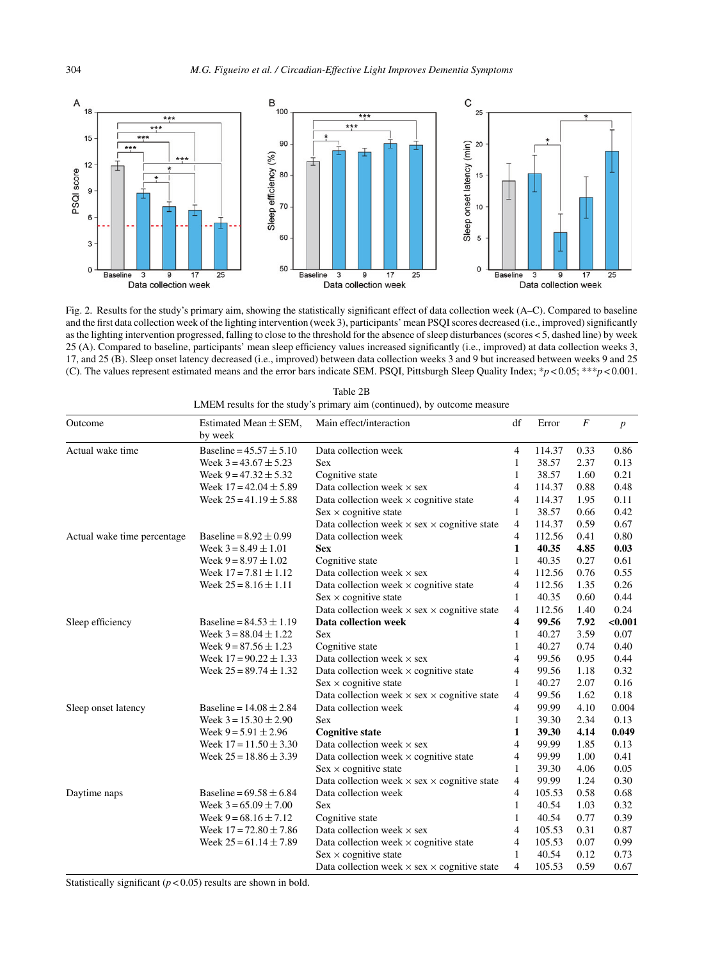

Fig. 2. Results for the study's primary aim, showing the statistically significant effect of data collection week (A–C). Compared to baseline and the first data collection week of the lighting intervention (week 3), participants' mean PSQI scores decreased (i.e., improved) significantly as the lighting intervention progressed, falling to close to the threshold for the absence of sleep disturbances (scores < 5, dashed line) by week 25 (A). Compared to baseline, participants' mean sleep efficiency values increased significantly (i.e., improved) at data collection weeks 3, 17, and 25 (B). Sleep onset latency decreased (i.e., improved) between data collection weeks 3 and 9 but increased between weeks 9 and 25 (C). The values represent estimated means and the error bars indicate SEM. PSQI, Pittsburgh Sleep Quality Index; \**p* < 0.05; \*\*\**p* < 0.001.

| Outcome                     | Estimated Mean $\pm$ SEM,<br>by week | Main effect/interaction                                    | df             | Error  | $\boldsymbol{F}$ | $\boldsymbol{p}$ |
|-----------------------------|--------------------------------------|------------------------------------------------------------|----------------|--------|------------------|------------------|
| Actual wake time            | Baseline = $45.57 \pm 5.10$          | Data collection week                                       | $\overline{4}$ | 114.37 | 0.33             | 0.86             |
|                             | Week $3 = 43.67 \pm 5.23$            | <b>Sex</b>                                                 | 1              | 38.57  | 2.37             | 0.13             |
|                             | Week $9 = 47.32 \pm 5.32$            | Cognitive state                                            | 1              | 38.57  | 1.60             | 0.21             |
|                             | Week $17 = 42.04 \pm 5.89$           | Data collection week $\times$ sex                          | 4              | 114.37 | 0.88             | 0.48             |
|                             | Week $25 = 41.19 \pm 5.88$           | Data collection week $\times$ cognitive state              | 4              | 114.37 | 1.95             | 0.11             |
|                             |                                      | $Sex \times$ cognitive state                               | $\mathbf{1}$   | 38.57  | 0.66             | 0.42             |
|                             |                                      | Data collection week $\times$ sex $\times$ cognitive state | $\overline{4}$ | 114.37 | 0.59             | 0.67             |
| Actual wake time percentage | Baseline = $8.92 \pm 0.99$           | Data collection week                                       | 4              | 112.56 | 0.41             | 0.80             |
|                             | Week $3 = 8.49 \pm 1.01$             | Sex                                                        | 1              | 40.35  | 4.85             | 0.03             |
|                             | Week $9 = 8.97 \pm 1.02$             | Cognitive state                                            | $\mathbf{1}$   | 40.35  | 0.27             | 0.61             |
|                             | Week $17 = 7.81 \pm 1.12$            | Data collection week $\times$ sex                          | 4              | 112.56 | 0.76             | 0.55             |
|                             | Week $25 = 8.16 \pm 1.11$            | Data collection week $\times$ cognitive state              | $\overline{4}$ | 112.56 | 1.35             | 0.26             |
|                             |                                      | $Sex \times cognitive state$                               | $\mathbf{1}$   | 40.35  | 0.60             | 0.44             |
|                             |                                      | Data collection week $\times$ sex $\times$ cognitive state | $\overline{4}$ | 112.56 | 1.40             | 0.24             |
| Sleep efficiency            | Baseline = $84.53 \pm 1.19$          | Data collection week                                       | 4              | 99.56  | 7.92             | < 0.001          |
|                             | Week $3 = 88.04 \pm 1.22$            | <b>Sex</b>                                                 | 1              | 40.27  | 3.59             | 0.07             |
|                             | Week $9 = 87.56 \pm 1.23$            | Cognitive state                                            | 1              | 40.27  | 0.74             | 0.40             |
|                             | Week $17 = 90.22 \pm 1.33$           | Data collection week $\times$ sex                          | $\overline{4}$ | 99.56  | 0.95             | 0.44             |
|                             | Week $25 = 89.74 \pm 1.32$           | Data collection week $\times$ cognitive state              | $\overline{4}$ | 99.56  | 1.18             | 0.32             |
|                             |                                      | $Sex \times cognitive state$                               | $\mathbf{1}$   | 40.27  | 2.07             | 0.16             |
|                             |                                      | Data collection week $\times$ sex $\times$ cognitive state | $\overline{4}$ | 99.56  | 1.62             | 0.18             |
| Sleep onset latency         | Baseline = $14.08 \pm 2.84$          | Data collection week                                       | $\overline{4}$ | 99.99  | 4.10             | 0.004            |
|                             | Week $3 = 15.30 \pm 2.90$            | <b>Sex</b>                                                 | 1              | 39.30  | 2.34             | 0.13             |
|                             | Week $9 = 5.91 \pm 2.96$             | <b>Cognitive state</b>                                     | 1              | 39.30  | 4.14             | 0.049            |
|                             | Week $17 = 11.50 \pm 3.30$           | Data collection week $\times$ sex                          | 4              | 99.99  | 1.85             | 0.13             |
|                             | Week $25 = 18.86 \pm 3.39$           | Data collection week $\times$ cognitive state              | 4              | 99.99  | 1.00             | 0.41             |
|                             |                                      | $Sex \times$ cognitive state                               | $\mathbf{1}$   | 39.30  | 4.06             | 0.05             |
|                             |                                      | Data collection week $\times$ sex $\times$ cognitive state | 4              | 99.99  | 1.24             | 0.30             |
| Daytime naps                | Baseline = $69.58 \pm 6.84$          | Data collection week                                       | $\overline{4}$ | 105.53 | 0.58             | 0.68             |
|                             | Week $3 = 65.09 \pm 7.00$            | Sex                                                        | 1              | 40.54  | 1.03             | 0.32             |
|                             | Week $9 = 68.16 \pm 7.12$            | Cognitive state                                            | 1              | 40.54  | 0.77             | 0.39             |
|                             | Week $17 = 72.80 \pm 7.86$           | Data collection week $\times$ sex                          | 4              | 105.53 | 0.31             | 0.87             |
|                             | Week $25 = 61.14 \pm 7.89$           | Data collection week $\times$ cognitive state              | 4              | 105.53 | 0.07             | 0.99             |
|                             |                                      | $Sex \times$ cognitive state                               | $\mathbf{1}$   | 40.54  | 0.12             | 0.73             |
|                             |                                      | Data collection week $\times$ sex $\times$ cognitive state | 4              | 105.53 | 0.59             | 0.67             |

Table 2B LMEM results for the study's primary aim (continued), by outcome measure

Statistically significant  $(p < 0.05)$  results are shown in bold.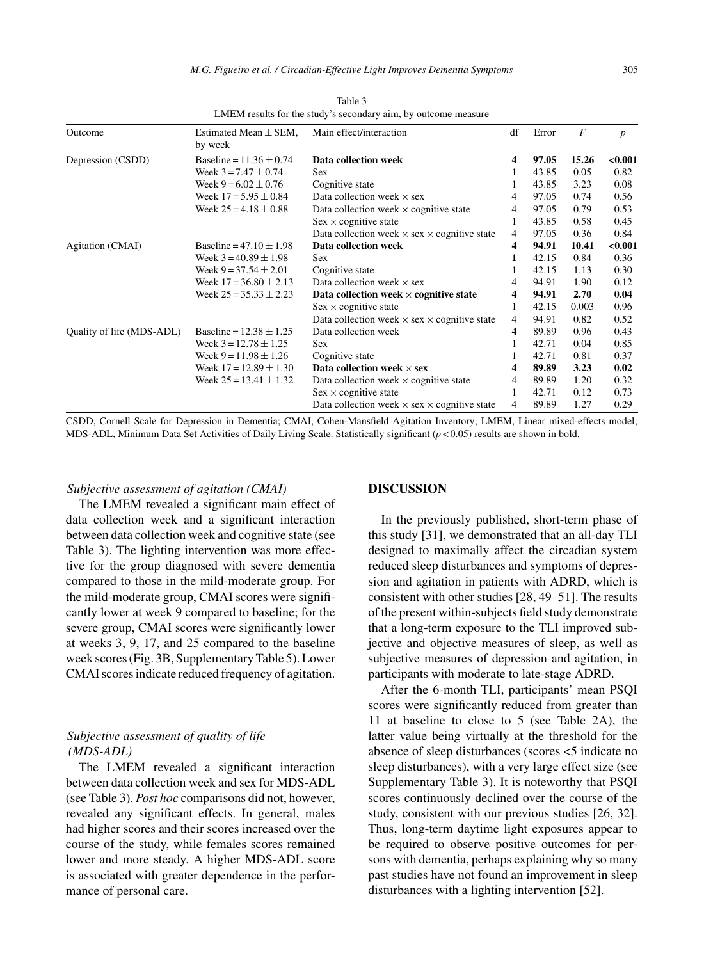| Outcome                   | Estimated Mean $\pm$ SEM,<br>by week | Main effect/interaction                                    | df             | Error | $\boldsymbol{F}$ | $\boldsymbol{p}$ |
|---------------------------|--------------------------------------|------------------------------------------------------------|----------------|-------|------------------|------------------|
|                           |                                      |                                                            |                |       |                  |                  |
| Depression (CSDD)         | Baseline = $11.36 \pm 0.74$          | Data collection week                                       | 4              | 97.05 | 15.26            | < 0.001          |
|                           | Week $3 = 7.47 \pm 0.74$             | Sex                                                        |                | 43.85 | 0.05             | 0.82             |
|                           | Week $9 = 6.02 \pm 0.76$             | Cognitive state                                            |                | 43.85 | 3.23             | 0.08             |
|                           | Week $17 = 5.95 \pm 0.84$            | Data collection week $\times$ sex                          |                | 97.05 | 0.74             | 0.56             |
|                           | Week $25 = 4.18 \pm 0.88$            | Data collection week $\times$ cognitive state              | 4              | 97.05 | 0.79             | 0.53             |
|                           |                                      | $Sex \times$ cognitive state                               | 1              | 43.85 | 0.58             | 0.45             |
|                           |                                      | Data collection week $\times$ sex $\times$ cognitive state | $\overline{4}$ | 97.05 | 0.36             | 0.84             |
| Agitation (CMAI)          | Baseline = $47.10 \pm 1.98$          | Data collection week                                       | 4              | 94.91 | 10.41            | < 0.001          |
|                           | Week $3 = 40.89 \pm 1.98$            | Sex                                                        | 1              | 42.15 | 0.84             | 0.36             |
|                           | Week $9 = 37.54 \pm 2.01$            | Cognitive state                                            |                | 42.15 | 1.13             | 0.30             |
|                           | Week $17 = 36.80 \pm 2.13$           | Data collection week $\times$ sex                          | 4              | 94.91 | 1.90             | 0.12             |
|                           | Week $25 = 35.33 \pm 2.23$           | Data collection week $\times$ cognitive state              | 4              | 94.91 | 2.70             | 0.04             |
|                           |                                      | $Sex \times$ cognitive state                               | 1              | 42.15 | 0.003            | 0.96             |
|                           |                                      | Data collection week $\times$ sex $\times$ cognitive state | 4              | 94.91 | 0.82             | 0.52             |
| Quality of life (MDS-ADL) | Baseline = $12.38 \pm 1.25$          | Data collection week                                       | 4              | 89.89 | 0.96             | 0.43             |
|                           | Week $3 = 12.78 \pm 1.25$            | Sex                                                        | 1              | 42.71 | 0.04             | 0.85             |
|                           | Week $9 = 11.98 \pm 1.26$            | Cognitive state                                            |                | 42.71 | 0.81             | 0.37             |
|                           | Week $17 = 12.89 \pm 1.30$           | Data collection week $\times$ sex                          | 4              | 89.89 | 3.23             | 0.02             |
|                           | Week $25 = 13.41 \pm 1.32$           | Data collection week $\times$ cognitive state              | 4              | 89.89 | 1.20             | 0.32             |
|                           |                                      | $Sex \times$ cognitive state                               |                | 42.71 | 0.12             | 0.73             |
|                           |                                      | Data collection week $\times$ sex $\times$ cognitive state | 4              | 89.89 | 1.27             | 0.29             |
|                           |                                      |                                                            |                |       |                  |                  |

Table 3 LMEM results for the study's secondary aim, by outcome measure

CSDD, Cornell Scale for Depression in Dementia; CMAI, Cohen-Mansfield Agitation Inventory; LMEM, Linear mixed-effects model; MDS-ADL, Minimum Data Set Activities of Daily Living Scale. Statistically significant (*p* < 0.05) results are shown in bold.

# *Subjective assessment of agitation (CMAI)*

The LMEM revealed a significant main effect of data collection week and a significant interaction between data collection week and cognitive state (see Table 3). The lighting intervention was more effective for the group diagnosed with severe dementia compared to those in the mild-moderate group. For the mild-moderate group, CMAI scores were significantly lower at week 9 compared to baseline; for the severe group, CMAI scores were significantly lower at weeks 3, 9, 17, and 25 compared to the baseline week scores (Fig. 3B, Supplementary Table 5). Lower CMAI scores indicate reduced frequency of agitation.

# *Subjective assessment of quality of life (MDS-ADL)*

The LMEM revealed a significant interaction between data collection week and sex for MDS-ADL (see Table 3). *Post hoc* comparisons did not, however, revealed any significant effects. In general, males had higher scores and their scores increased over the course of the study, while females scores remained lower and more steady. A higher MDS-ADL score is associated with greater dependence in the performance of personal care.

#### **DISCUSSION**

In the previously published, short-term phase of this study [31], we demonstrated that an all-day TLI designed to maximally affect the circadian system reduced sleep disturbances and symptoms of depression and agitation in patients with ADRD, which is consistent with other studies [28, 49–51]. The results of the present within-subjects field study demonstrate that a long-term exposure to the TLI improved subjective and objective measures of sleep, as well as subjective measures of depression and agitation, in participants with moderate to late-stage ADRD.

After the 6-month TLI, participants' mean PSQI scores were significantly reduced from greater than 11 at baseline to close to 5 (see Table 2A), the latter value being virtually at the threshold for the absence of sleep disturbances (scores <5 indicate no sleep disturbances), with a very large effect size (see Supplementary Table 3). It is noteworthy that PSQI scores continuously declined over the course of the study, consistent with our previous studies [26, 32]. Thus, long-term daytime light exposures appear to be required to observe positive outcomes for persons with dementia, perhaps explaining why so many past studies have not found an improvement in sleep disturbances with a lighting intervention [52].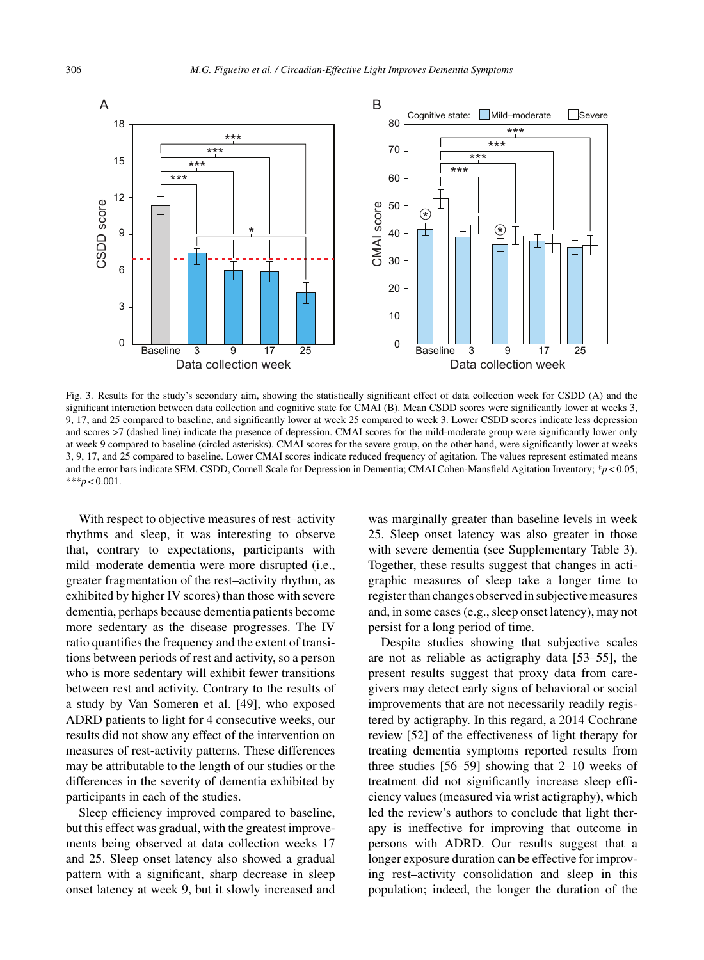

Fig. 3. Results for the study's secondary aim, showing the statistically significant effect of data collection week for CSDD (A) and the significant interaction between data collection and cognitive state for CMAI (B). Mean CSDD scores were significantly lower at weeks 3, 9, 17, and 25 compared to baseline, and significantly lower at week 25 compared to week 3. Lower CSDD scores indicate less depression and scores >7 (dashed line) indicate the presence of depression. CMAI scores for the mild-moderate group were significantly lower only at week 9 compared to baseline (circled asterisks). CMAI scores for the severe group, on the other hand, were significantly lower at weeks 3, 9, 17, and 25 compared to baseline. Lower CMAI scores indicate reduced frequency of agitation. The values represent estimated means and the error bars indicate SEM. CSDD, Cornell Scale for Depression in Dementia; CMAI Cohen-Mansfield Agitation Inventory; \**p* < 0.05; \*\*\**p* < 0.001.

With respect to objective measures of rest–activity rhythms and sleep, it was interesting to observe that, contrary to expectations, participants with mild–moderate dementia were more disrupted (i.e., greater fragmentation of the rest–activity rhythm, as exhibited by higher IV scores) than those with severe dementia, perhaps because dementia patients become more sedentary as the disease progresses. The IV ratio quantifies the frequency and the extent of transitions between periods of rest and activity, so a person who is more sedentary will exhibit fewer transitions between rest and activity. Contrary to the results of a study by Van Someren et al. [49], who exposed ADRD patients to light for 4 consecutive weeks, our results did not show any effect of the intervention on measures of rest-activity patterns. These differences may be attributable to the length of our studies or the differences in the severity of dementia exhibited by participants in each of the studies.

Sleep efficiency improved compared to baseline, but this effect was gradual, with the greatest improvements being observed at data collection weeks 17 and 25. Sleep onset latency also showed a gradual pattern with a significant, sharp decrease in sleep onset latency at week 9, but it slowly increased and was marginally greater than baseline levels in week 25. Sleep onset latency was also greater in those with severe dementia (see Supplementary Table 3). Together, these results suggest that changes in actigraphic measures of sleep take a longer time to register than changes observed in subjective measures and, in some cases (e.g., sleep onset latency), may not persist for a long period of time.

Despite studies showing that subjective scales are not as reliable as actigraphy data [53–55], the present results suggest that proxy data from caregivers may detect early signs of behavioral or social improvements that are not necessarily readily registered by actigraphy. In this regard, a 2014 Cochrane review [52] of the effectiveness of light therapy for treating dementia symptoms reported results from three studies [56–59] showing that 2–10 weeks of treatment did not significantly increase sleep efficiency values (measured via wrist actigraphy), which led the review's authors to conclude that light therapy is ineffective for improving that outcome in persons with ADRD. Our results suggest that a longer exposure duration can be effective for improving rest–activity consolidation and sleep in this population; indeed, the longer the duration of the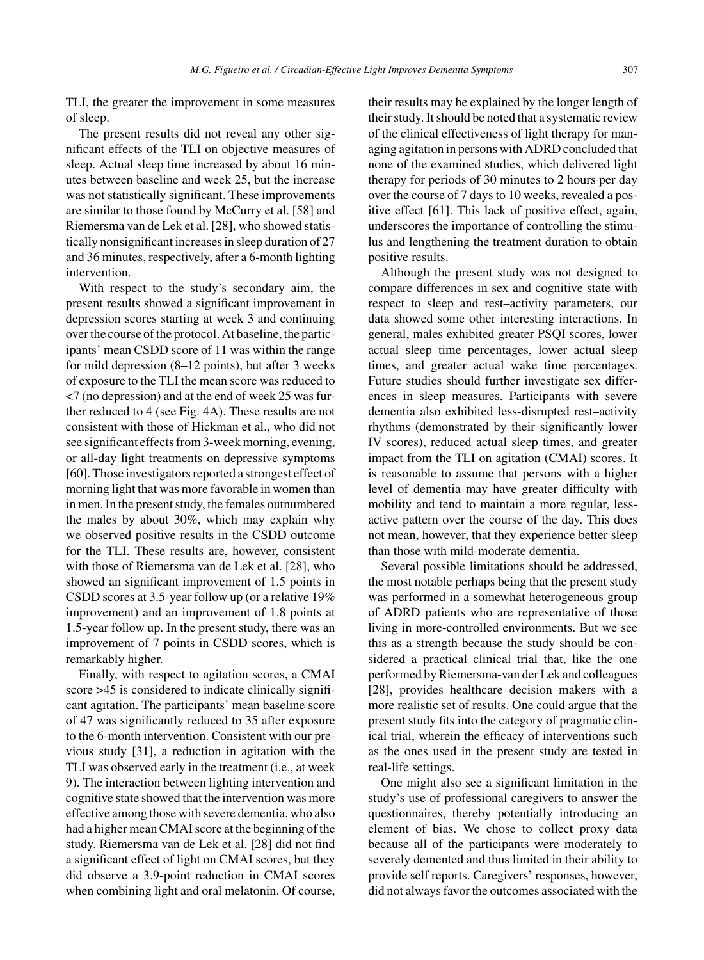TLI, the greater the improvement in some measures of sleep.

The present results did not reveal any other significant effects of the TLI on objective measures of sleep. Actual sleep time increased by about 16 minutes between baseline and week 25, but the increase was not statistically significant. These improvements are similar to those found by McCurry et al. [58] and Riemersma van de Lek et al. [28], who showed statistically nonsignificant increases in sleep duration of 27 and 36 minutes, respectively, after a 6-month lighting intervention.

With respect to the study's secondary aim, the present results showed a significant improvement in depression scores starting at week 3 and continuing over the course of the protocol. At baseline, the participants' mean CSDD score of 11 was within the range for mild depression (8–12 points), but after 3 weeks of exposure to the TLI the mean score was reduced to <7 (no depression) and at the end of week 25 was further reduced to 4 (see Fig. 4A). These results are not consistent with those of Hickman et al., who did not see significant effects from 3-week morning, evening, or all-day light treatments on depressive symptoms [60]. Those investigators reported a strongest effect of morning light that was more favorable in women than in men. In the present study, the females outnumbered the males by about 30%, which may explain why we observed positive results in the CSDD outcome for the TLI. These results are, however, consistent with those of Riemersma van de Lek et al. [28], who showed an significant improvement of 1.5 points in CSDD scores at 3.5-year follow up (or a relative 19% improvement) and an improvement of 1.8 points at 1.5-year follow up. In the present study, there was an improvement of 7 points in CSDD scores, which is remarkably higher.

Finally, with respect to agitation scores, a CMAI score >45 is considered to indicate clinically significant agitation. The participants' mean baseline score of 47 was significantly reduced to 35 after exposure to the 6-month intervention. Consistent with our previous study [31], a reduction in agitation with the TLI was observed early in the treatment (i.e., at week 9). The interaction between lighting intervention and cognitive state showed that the intervention was more effective among those with severe dementia, who also had a higher mean CMAI score at the beginning of the study. Riemersma van de Lek et al. [28] did not find a significant effect of light on CMAI scores, but they did observe a 3.9-point reduction in CMAI scores when combining light and oral melatonin. Of course,

their results may be explained by the longer length of their study. It should be noted that a systematic review of the clinical effectiveness of light therapy for managing agitation in persons with ADRD concluded that none of the examined studies, which delivered light therapy for periods of 30 minutes to 2 hours per day over the course of 7 days to 10 weeks, revealed a positive effect [61]. This lack of positive effect, again, underscores the importance of controlling the stimulus and lengthening the treatment duration to obtain positive results.

Although the present study was not designed to compare differences in sex and cognitive state with respect to sleep and rest–activity parameters, our data showed some other interesting interactions. In general, males exhibited greater PSQI scores, lower actual sleep time percentages, lower actual sleep times, and greater actual wake time percentages. Future studies should further investigate sex differences in sleep measures. Participants with severe dementia also exhibited less-disrupted rest–activity rhythms (demonstrated by their significantly lower IV scores), reduced actual sleep times, and greater impact from the TLI on agitation (CMAI) scores. It is reasonable to assume that persons with a higher level of dementia may have greater difficulty with mobility and tend to maintain a more regular, lessactive pattern over the course of the day. This does not mean, however, that they experience better sleep than those with mild-moderate dementia.

Several possible limitations should be addressed, the most notable perhaps being that the present study was performed in a somewhat heterogeneous group of ADRD patients who are representative of those living in more-controlled environments. But we see this as a strength because the study should be considered a practical clinical trial that, like the one performed by Riemersma-van der Lek and colleagues [28], provides healthcare decision makers with a more realistic set of results. One could argue that the present study fits into the category of pragmatic clinical trial, wherein the efficacy of interventions such as the ones used in the present study are tested in real-life settings.

One might also see a significant limitation in the study's use of professional caregivers to answer the questionnaires, thereby potentially introducing an element of bias. We chose to collect proxy data because all of the participants were moderately to severely demented and thus limited in their ability to provide self reports. Caregivers' responses, however, did not always favor the outcomes associated with the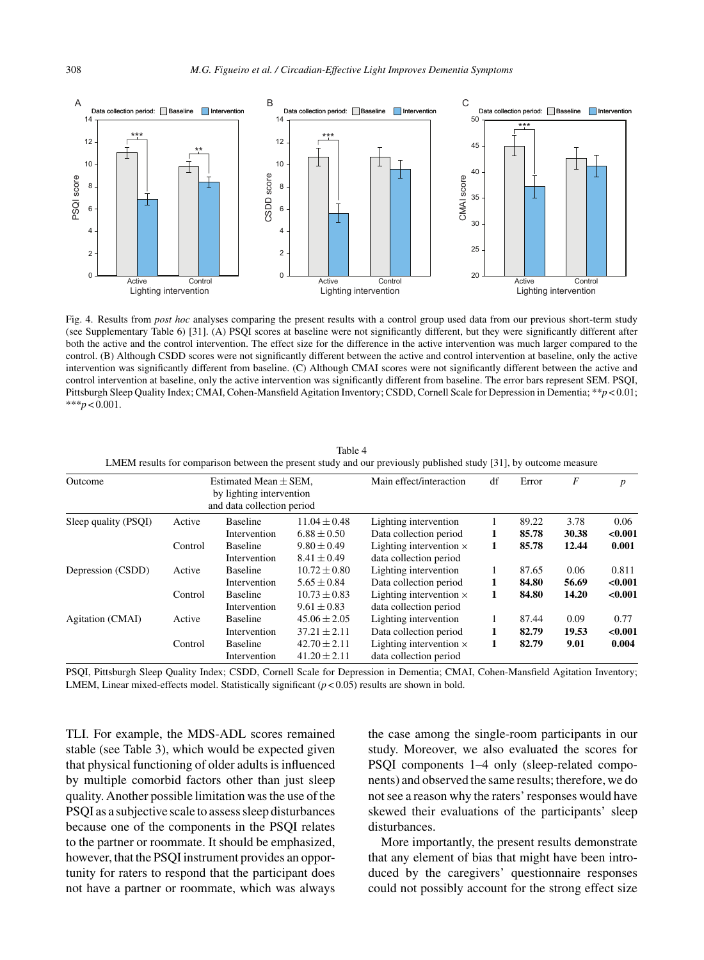

Fig. 4. Results from *post hoc* analyses comparing the present results with a control group used data from our previous short-term study (see Supplementary Table 6) [31]. (A) PSQI scores at baseline were not significantly different, but they were significantly different after both the active and the control intervention. The effect size for the difference in the active intervention was much larger compared to the control. (B) Although CSDD scores were not significantly different between the active and control intervention at baseline, only the active intervention was significantly different from baseline. (C) Although CMAI scores were not significantly different between the active and control intervention at baseline, only the active intervention was significantly different from baseline. The error bars represent SEM. PSQI, Pittsburgh Sleep Quality Index; CMAI, Cohen-Mansfield Agitation Inventory; CSDD, Cornell Scale for Depression in Dementia; \*\**p* < 0.01; \*\*\**p* < 0.001.

| Outcome              |         | Estimated Mean $\pm$ SEM,<br>by lighting intervention |                  | Main effect/interaction        | df | Error | $\overline{F}$ | $\boldsymbol{p}$ |
|----------------------|---------|-------------------------------------------------------|------------------|--------------------------------|----|-------|----------------|------------------|
|                      |         |                                                       |                  |                                |    |       |                |                  |
|                      |         | and data collection period                            |                  |                                |    |       |                |                  |
| Sleep quality (PSQI) | Active  | <b>Baseline</b>                                       | $11.04 \pm 0.48$ | Lighting intervention          |    | 89.22 | 3.78           | 0.06             |
|                      |         | Intervention                                          | $6.88 \pm 0.50$  | Data collection period         | 1  | 85.78 | 30.38          | < 0.001          |
|                      | Control | <b>Baseline</b>                                       | $9.80 \pm 0.49$  | Lighting intervention $\times$ | 1  | 85.78 | 12.44          | 0.001            |
|                      |         | Intervention                                          | $8.41 \pm 0.49$  | data collection period         |    |       |                |                  |
| Depression (CSDD)    | Active  | <b>Baseline</b>                                       | $10.72 \pm 0.80$ | Lighting intervention          |    | 87.65 | 0.06           | 0.811            |
|                      |         | Intervention                                          | $5.65 \pm 0.84$  | Data collection period         | 1  | 84.80 | 56.69          | < 0.001          |
|                      | Control | <b>Baseline</b>                                       | $10.73 \pm 0.83$ | Lighting intervention $\times$ | 1  | 84.80 | 14.20          | < 0.001          |
|                      |         | Intervention                                          | $9.61 \pm 0.83$  | data collection period         |    |       |                |                  |
| Agitation (CMAI)     | Active  | <b>Baseline</b>                                       | $45.06 \pm 2.05$ | Lighting intervention          |    | 87.44 | 0.09           | 0.77             |
|                      |         | Intervention                                          | $37.21 \pm 2.11$ | Data collection period         | 1  | 82.79 | 19.53          | < 0.001          |
|                      | Control | <b>Baseline</b>                                       | $42.70 \pm 2.11$ | Lighting intervention $\times$ | 1  | 82.79 | 9.01           | 0.004            |
|                      |         | Intervention                                          | $41.20 \pm 2.11$ | data collection period         |    |       |                |                  |

Table 4 LMEM results for comparison between the present study and our previously published study [31], by outcome measure

PSQI, Pittsburgh Sleep Quality Index; CSDD, Cornell Scale for Depression in Dementia; CMAI, Cohen-Mansfield Agitation Inventory; LMEM, Linear mixed-effects model. Statistically significant ( $p < 0.05$ ) results are shown in bold.

TLI. For example, the MDS-ADL scores remained stable (see Table 3), which would be expected given that physical functioning of older adults is influenced by multiple comorbid factors other than just sleep quality. Another possible limitation was the use of the PSQI as a subjective scale to assess sleep disturbances because one of the components in the PSQI relates to the partner or roommate. It should be emphasized, however, that the PSQI instrument provides an opportunity for raters to respond that the participant does not have a partner or roommate, which was always

the case among the single-room participants in our study. Moreover, we also evaluated the scores for PSQI components 1–4 only (sleep-related components) and observed the same results; therefore, we do not see a reason why the raters' responses would have skewed their evaluations of the participants' sleep disturbances.

More importantly, the present results demonstrate that any element of bias that might have been introduced by the caregivers' questionnaire responses could not possibly account for the strong effect size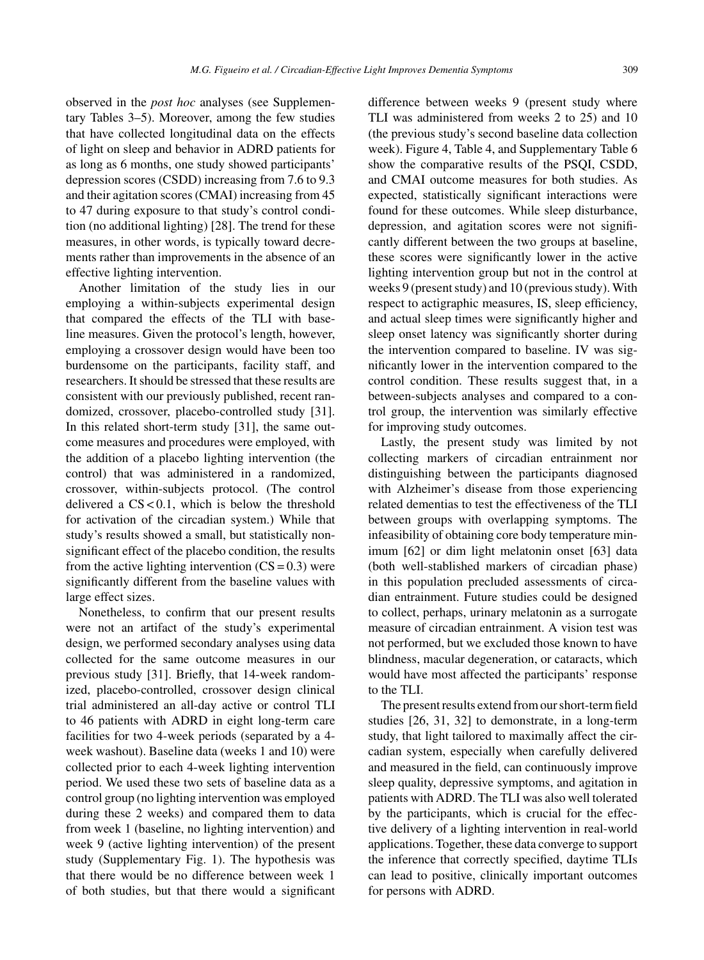observed in the *post hoc* analyses (see Supplementary Tables 3–5). Moreover, among the few studies that have collected longitudinal data on the effects of light on sleep and behavior in ADRD patients for as long as 6 months, one study showed participants' depression scores (CSDD) increasing from 7.6 to 9.3 and their agitation scores (CMAI) increasing from 45 to 47 during exposure to that study's control condition (no additional lighting) [28]. The trend for these measures, in other words, is typically toward decrements rather than improvements in the absence of an effective lighting intervention.

Another limitation of the study lies in our employing a within-subjects experimental design that compared the effects of the TLI with baseline measures. Given the protocol's length, however, employing a crossover design would have been too burdensome on the participants, facility staff, and researchers. It should be stressed that these results are consistent with our previously published, recent randomized, crossover, placebo-controlled study [31]. In this related short-term study [31], the same outcome measures and procedures were employed, with the addition of a placebo lighting intervention (the control) that was administered in a randomized, crossover, within-subjects protocol. (The control delivered a  $CS < 0.1$ , which is below the threshold for activation of the circadian system.) While that study's results showed a small, but statistically nonsignificant effect of the placebo condition, the results from the active lighting intervention  $(CS = 0.3)$  were significantly different from the baseline values with large effect sizes.

Nonetheless, to confirm that our present results were not an artifact of the study's experimental design, we performed secondary analyses using data collected for the same outcome measures in our previous study [31]. Briefly, that 14-week randomized, placebo-controlled, crossover design clinical trial administered an all-day active or control TLI to 46 patients with ADRD in eight long-term care facilities for two 4-week periods (separated by a 4 week washout). Baseline data (weeks 1 and 10) were collected prior to each 4-week lighting intervention period. We used these two sets of baseline data as a control group (no lighting intervention was employed during these 2 weeks) and compared them to data from week 1 (baseline, no lighting intervention) and week 9 (active lighting intervention) of the present study (Supplementary Fig. 1). The hypothesis was that there would be no difference between week 1 of both studies, but that there would a significant difference between weeks 9 (present study where TLI was administered from weeks 2 to 25) and 10 (the previous study's second baseline data collection week). Figure 4, Table 4, and Supplementary Table 6 show the comparative results of the PSQI, CSDD, and CMAI outcome measures for both studies. As expected, statistically significant interactions were found for these outcomes. While sleep disturbance, depression, and agitation scores were not significantly different between the two groups at baseline, these scores were significantly lower in the active lighting intervention group but not in the control at weeks 9 (present study) and 10 (previous study). With respect to actigraphic measures, IS, sleep efficiency, and actual sleep times were significantly higher and sleep onset latency was significantly shorter during the intervention compared to baseline. IV was significantly lower in the intervention compared to the control condition. These results suggest that, in a between-subjects analyses and compared to a control group, the intervention was similarly effective for improving study outcomes.

Lastly, the present study was limited by not collecting markers of circadian entrainment nor distinguishing between the participants diagnosed with Alzheimer's disease from those experiencing related dementias to test the effectiveness of the TLI between groups with overlapping symptoms. The infeasibility of obtaining core body temperature minimum [62] or dim light melatonin onset [63] data (both well-stablished markers of circadian phase) in this population precluded assessments of circadian entrainment. Future studies could be designed to collect, perhaps, urinary melatonin as a surrogate measure of circadian entrainment. A vision test was not performed, but we excluded those known to have blindness, macular degeneration, or cataracts, which would have most affected the participants' response to the TLI.

The present results extend from our short-term field studies [26, 31, 32] to demonstrate, in a long-term study, that light tailored to maximally affect the circadian system, especially when carefully delivered and measured in the field, can continuously improve sleep quality, depressive symptoms, and agitation in patients with ADRD. The TLI was also well tolerated by the participants, which is crucial for the effective delivery of a lighting intervention in real-world applications. Together, these data converge to support the inference that correctly specified, daytime TLIs can lead to positive, clinically important outcomes for persons with ADRD.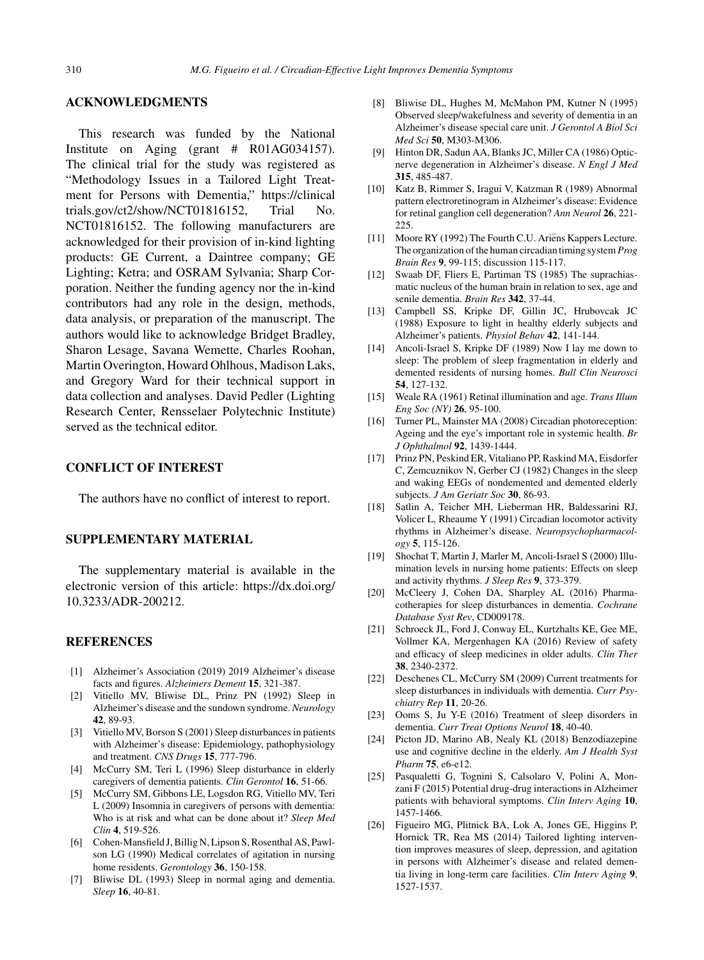## **ACKNOWLEDGMENTS**

This research was funded by the National Institute on Aging (grant # R01AG034157). The clinical trial for the study was registered as "Methodology Issues in a Tailored Light Treatment for Persons with Dementia," [https://clinical](https://clinicaltrials.gov/ct2/show/NCT01816152) trials.gov/ct2/show/NCT01816152, Trial No. NCT01816152. The following manufacturers are acknowledged for their provision of in-kind lighting products: GE Current, a Daintree company; GE Lighting; Ketra; and OSRAM Sylvania; Sharp Corporation. Neither the funding agency nor the in-kind contributors had any role in the design, methods, data analysis, or preparation of the manuscript. The authors would like to acknowledge Bridget Bradley, Sharon Lesage, Savana Wemette, Charles Roohan, Martin Overington, Howard Ohlhous, Madison Laks, and Gregory Ward for their technical support in data collection and analyses. David Pedler (Lighting Research Center, Rensselaer Polytechnic Institute) served as the technical editor.

## **CONFLICT OF INTEREST**

The authors have no conflict of interest to report.

# **SUPPLEMENTARY MATERIAL**

The supplementary material is available in the electronic version of this article: [https://dx.doi.org/](https://dx.doi.org/10.3233/ADR-200212) [10.3233/ADR-200212](https://dx.doi.org/10.3233/ADR-200212).

#### **REFERENCES**

- [1] Alzheimer's Association (2019) 2019 Alzheimer's disease facts and figures. *Alzheimers Dement* **15**, 321-387.
- [2] Vitiello MV, Bliwise DL, Prinz PN (1992) Sleep in Alzheimer's disease and the sundown syndrome. *Neurology* **42**, 89-93.
- [3] Vitiello MV, Borson S (2001) Sleep disturbances in patients with Alzheimer's disease: Epidemiology, pathophysiology and treatment. *CNS Drugs* **15**, 777-796.
- [4] McCurry SM, Teri L (1996) Sleep disturbance in elderly caregivers of dementia patients. *Clin Gerontol* **16**, 51-66.
- [5] McCurry SM, Gibbons LE, Logsdon RG, Vitiello MV, Teri L (2009) Insomnia in caregivers of persons with dementia: Who is at risk and what can be done about it? *Sleep Med Clin* **4**, 519-526.
- [6] Cohen-Mansfield J, Billig N, Lipson S, Rosenthal AS, Pawlson LG (1990) Medical correlates of agitation in nursing home residents. *Gerontology* **36**, 150-158.
- [7] Bliwise DL (1993) Sleep in normal aging and dementia. *Sleep* **16**, 40-81.
- [8] Bliwise DL, Hughes M, McMahon PM, Kutner N (1995) Observed sleep/wakefulness and severity of dementia in an Alzheimer's disease special care unit. *J Gerontol A Biol Sci Med Sci* **50**, M303-M306.
- [9] Hinton DR, Sadun AA, Blanks JC, Miller CA (1986) Opticnerve degeneration in Alzheimer's disease. *N Engl J Med* **315**, 485-487.
- [10] Katz B, Rimmer S, Iragui V, Katzman R (1989) Abnormal pattern electroretinogram in Alzheimer's disease: Evidence for retinal ganglion cell degeneration? *Ann Neurol* **26**, 221-  $225$
- [11] Moore RY (1992) The Fourth C.U. Ariëns Kappers Lecture. The organization of the human circadian timing system*Prog Brain Res* **9**, 99-115; discussion 115-117.
- [12] Swaab DF, Fliers E, Partiman TS (1985) The suprachiasmatic nucleus of the human brain in relation to sex, age and senile dementia. *Brain Res* **342**, 37-44.
- [13] Campbell SS, Kripke DF, Gillin JC, Hrubovcak JC (1988) Exposure to light in healthy elderly subjects and Alzheimer's patients. *Physiol Behav* **42**, 141-144.
- [14] Ancoli-Israel S, Kripke DF (1989) Now I lay me down to sleep: The problem of sleep fragmentation in elderly and demented residents of nursing homes. *Bull Clin Neurosci* **54**, 127-132.
- [15] Weale RA (1961) Retinal illumination and age. *Trans Illum Eng Soc (NY)* **26**, 95-100.
- [16] Turner PL, Mainster MA (2008) Circadian photoreception: Ageing and the eye's important role in systemic health. *Br J Ophthalmol* **92**, 1439-1444.
- [17] Prinz PN, Peskind ER, Vitaliano PP, Raskind MA, Eisdorfer C, Zemcuznikov N, Gerber CJ (1982) Changes in the sleep and waking EEGs of nondemented and demented elderly subjects. *J Am Geriatr Soc* **30**, 86-93.
- [18] Satlin A, Teicher MH, Lieberman HR, Baldessarini RJ, Volicer L, Rheaume Y (1991) Circadian locomotor activity rhythms in Alzheimer's disease. *Neuropsychopharmacology* **5**, 115-126.
- [19] Shochat T, Martin J, Marler M, Ancoli-Israel S (2000) Illumination levels in nursing home patients: Effects on sleep and activity rhythms. *J Sleep Res* **9**, 373-379.
- [20] McCleery J, Cohen DA, Sharpley AL (2016) Pharmacotherapies for sleep disturbances in dementia. *Cochrane Database Syst Rev*, CD009178.
- [21] Schroeck JL, Ford J, Conway EL, Kurtzhalts KE, Gee ME, Vollmer KA, Mergenhagen KA (2016) Review of safety and efficacy of sleep medicines in older adults. *Clin Ther* **38**, 2340-2372.
- [22] Deschenes CL, McCurry SM (2009) Current treatments for sleep disturbances in individuals with dementia. *Curr Psychiatry Rep* **11**, 20-26.
- [23] Ooms S, Ju Y-E (2016) Treatment of sleep disorders in dementia. *Curr Treat Options Neurol* **18**, 40-40.
- [24] Picton JD, Marino AB, Nealy KL (2018) Benzodiazepine use and cognitive decline in the elderly. *Am J Health Syst Pharm* **75**, e6-e12.
- [25] Pasqualetti G, Tognini S, Calsolaro V, Polini A, Monzani F (2015) Potential drug-drug interactions in Alzheimer patients with behavioral symptoms. *Clin Interv Aging* **10**, 1457-1466.
- [26] Figueiro MG, Plitnick BA, Lok A, Jones GE, Higgins P, Hornick TR, Rea MS (2014) Tailored lighting intervention improves measures of sleep, depression, and agitation in persons with Alzheimer's disease and related dementia living in long-term care facilities. *Clin Interv Aging* **9**, 1527-1537.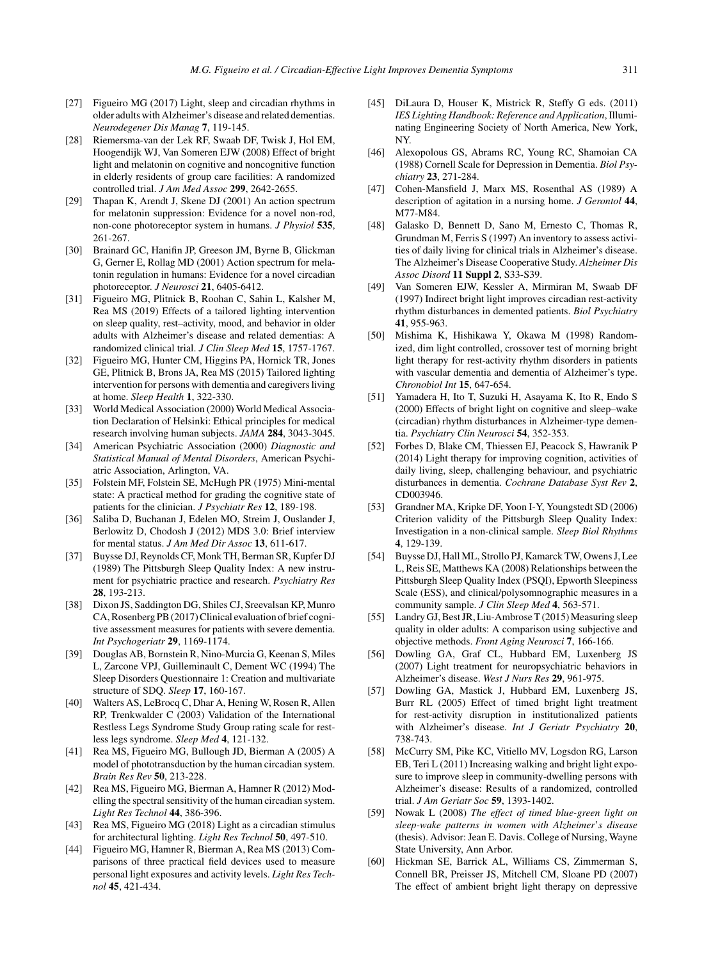- [27] Figueiro MG (2017) Light, sleep and circadian rhythms in older adults with Alzheimer's disease and related dementias. *Neurodegener Dis Manag* **7**, 119-145.
- [28] Riemersma-van der Lek RF, Swaab DF, Twisk J, Hol EM, Hoogendijk WJ, Van Someren EJW (2008) Effect of bright light and melatonin on cognitive and noncognitive function in elderly residents of group care facilities: A randomized controlled trial. *J Am Med Assoc* **299**, 2642-2655.
- [29] Thapan K, Arendt J, Skene DJ (2001) An action spectrum for melatonin suppression: Evidence for a novel non-rod, non-cone photoreceptor system in humans. *J Physiol* **535**, 261-267.
- [30] Brainard GC, Hanifin JP, Greeson JM, Byrne B, Glickman G, Gerner E, Rollag MD (2001) Action spectrum for melatonin regulation in humans: Evidence for a novel circadian photoreceptor. *J Neurosci* **21**, 6405-6412.
- [31] Figueiro MG, Plitnick B, Roohan C, Sahin L, Kalsher M, Rea MS (2019) Effects of a tailored lighting intervention on sleep quality, rest–activity, mood, and behavior in older adults with Alzheimer's disease and related dementias: A randomized clinical trial. *J Clin Sleep Med* **15**, 1757-1767.
- [32] Figueiro MG, Hunter CM, Higgins PA, Hornick TR, Jones GE, Plitnick B, Brons JA, Rea MS (2015) Tailored lighting intervention for persons with dementia and caregivers living at home. *Sleep Health* **1**, 322-330.
- [33] World Medical Association (2000) World Medical Association Declaration of Helsinki: Ethical principles for medical research involving human subjects. *JAMA* **284**, 3043-3045.
- [34] American Psychiatric Association (2000) *Diagnostic and Statistical Manual of Mental Disorders*, American Psychiatric Association, Arlington, VA.
- [35] Folstein MF, Folstein SE, McHugh PR (1975) Mini-mental state: A practical method for grading the cognitive state of patients for the clinician. *J Psychiatr Res* **12**, 189-198.
- [36] Saliba D, Buchanan J, Edelen MO, Streim J, Ouslander J, Berlowitz D, Chodosh J (2012) MDS 3.0: Brief interview for mental status. *J Am Med Dir Assoc* **13**, 611-617.
- [37] Buysse DJ, Reynolds CF, Monk TH, Berman SR, Kupfer DJ (1989) The Pittsburgh Sleep Quality Index: A new instrument for psychiatric practice and research. *Psychiatry Res* **28**, 193-213.
- [38] Dixon JS, Saddington DG, Shiles CJ, Sreevalsan KP, Munro CA, Rosenberg PB (2017) Clinical evaluation of brief cognitive assessment measures for patients with severe dementia. *Int Psychogeriatr* **29**, 1169-1174.
- [39] Douglas AB, Bornstein R, Nino-Murcia G, Keenan S, Miles L, Zarcone VPJ, Guilleminault C, Dement WC (1994) The Sleep Disorders Questionnaire 1: Creation and multivariate structure of SDQ. *Sleep* **17**, 160-167.
- [40] Walters AS, LeBrocq C, Dhar A, Hening W, Rosen R, Allen RP, Trenkwalder C (2003) Validation of the International Restless Legs Syndrome Study Group rating scale for restless legs syndrome. *Sleep Med* **4**, 121-132.
- [41] Rea MS, Figueiro MG, Bullough JD, Bierman A (2005) A model of phototransduction by the human circadian system. *Brain Res Rev* **50**, 213-228.
- [42] Rea MS, Figueiro MG, Bierman A, Hamner R (2012) Modelling the spectral sensitivity of the human circadian system. *Light Res Technol* **44**, 386-396.
- [43] Rea MS, Figueiro MG (2018) Light as a circadian stimulus for architectural lighting. *Light Res Technol* **50**, 497-510.
- [44] Figueiro MG, Hamner R, Bierman A, Rea MS (2013) Comparisons of three practical field devices used to measure personal light exposures and activity levels. *Light Res Technol* **45**, 421-434.
- [45] DiLaura D, Houser K, Mistrick R, Steffy G eds. (2011) *IES Lighting Handbook: Reference and Application*, Illuminating Engineering Society of North America, New York, NY.
- [46] Alexopolous GS, Abrams RC, Young RC, Shamoian CA (1988) Cornell Scale for Depression in Dementia. *Biol Psychiatry* **23**, 271-284.
- [47] Cohen-Mansfield J, Marx MS, Rosenthal AS (1989) A description of agitation in a nursing home. *J Gerontol* **44**, M77-M84.
- [48] Galasko D, Bennett D, Sano M, Ernesto C, Thomas R, Grundman M, Ferris S (1997) An inventory to assess activities of daily living for clinical trials in Alzheimer's disease. The Alzheimer's Disease Cooperative Study. *Alzheimer Dis Assoc Disord* **11 Suppl 2**, S33-S39.
- [49] Van Someren EJW, Kessler A, Mirmiran M, Swaab DF (1997) Indirect bright light improves circadian rest-activity rhythm disturbances in demented patients. *Biol Psychiatry* **41**, 955-963.
- [50] Mishima K, Hishikawa Y, Okawa M (1998) Randomized, dim light controlled, crossover test of morning bright light therapy for rest-activity rhythm disorders in patients with vascular dementia and dementia of Alzheimer's type. *Chronobiol Int* **15**, 647-654.
- [51] Yamadera H, Ito T, Suzuki H, Asayama K, Ito R, Endo S (2000) Effects of bright light on cognitive and sleep–wake (circadian) rhythm disturbances in Alzheimer-type dementia. *Psychiatry Clin Neurosci* **54**, 352-353.
- [52] Forbes D, Blake CM, Thiessen EJ, Peacock S, Hawranik P (2014) Light therapy for improving cognition, activities of daily living, sleep, challenging behaviour, and psychiatric disturbances in dementia. *Cochrane Database Syst Rev* **2**, CD003946.
- [53] Grandner MA, Kripke DF, Yoon I-Y, Youngstedt SD (2006) Criterion validity of the Pittsburgh Sleep Quality Index: Investigation in a non-clinical sample. *Sleep Biol Rhythms* **4**, 129-139.
- [54] Buysse DJ, Hall ML, Strollo PJ, Kamarck TW, Owens J, Lee L, Reis SE, Matthews KA (2008) Relationships between the Pittsburgh Sleep Quality Index (PSQI), Epworth Sleepiness Scale (ESS), and clinical/polysomnographic measures in a community sample. *J Clin Sleep Med* **4**, 563-571.
- [55] Landry GJ, Best JR, Liu-Ambrose T (2015) Measuring sleep quality in older adults: A comparison using subjective and objective methods. *Front Aging Neurosci* **7**, 166-166.
- [56] Dowling GA, Graf CL, Hubbard EM, Luxenberg JS (2007) Light treatment for neuropsychiatric behaviors in Alzheimer's disease. *West J Nurs Res* **29**, 961-975.
- [57] Dowling GA, Mastick J, Hubbard EM, Luxenberg JS, Burr RL (2005) Effect of timed bright light treatment for rest-activity disruption in institutionalized patients with Alzheimer's disease. *Int J Geriatr Psychiatry* **20**, 738-743.
- [58] McCurry SM, Pike KC, Vitiello MV, Logsdon RG, Larson EB, Teri L (2011) Increasing walking and bright light exposure to improve sleep in community-dwelling persons with Alzheimer's disease: Results of a randomized, controlled trial. *J Am Geriatr Soc* **59**, 1393-1402.
- [59] Nowak L (2008) *The effect of timed blue-green light on sleep-wake patterns in women with Alzheimer*'*s disease* (thesis). Advisor: Jean E. Davis. College of Nursing, Wayne State University, Ann Arbor.
- [60] Hickman SE, Barrick AL, Williams CS, Zimmerman S, Connell BR, Preisser JS, Mitchell CM, Sloane PD (2007) The effect of ambient bright light therapy on depressive